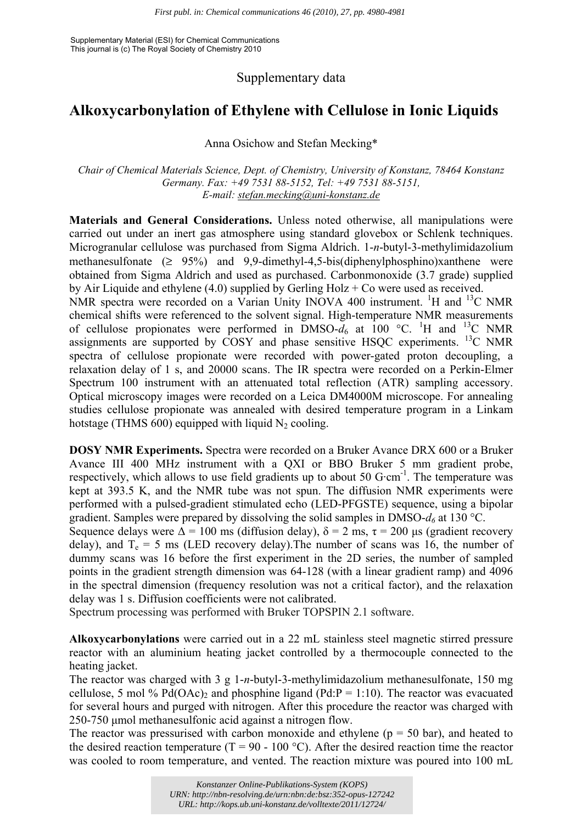Supplementary Material (ESI) for Chemical Communications This journal is (c) The Royal Society of Chemistry 2010

Supplementary data

## **Alkoxycarbonylation of Ethylene with Cellulose in Ionic Liquids**

Anna Osichow and Stefan Mecking\*

*Chair of Chemical Materials Science, Dept. of Chemistry, University of Konstanz, 78464 Konstanz Germany. Fax: +49 7531 88-5152, Tel: +49 7531 88-5151, E-mail: stefan.mecking@uni-konstanz.de*

**Materials and General Considerations.** Unless noted otherwise, all manipulations were carried out under an inert gas atmosphere using standard glovebox or Schlenk techniques. Microgranular cellulose was purchased from Sigma Aldrich. 1-*n*-butyl-3-methylimidazolium methanesulfonate  $(2 \quad 95\%)$  and 9,9-dimethyl-4,5-bis(diphenylphosphino)xanthene were obtained from Sigma Aldrich and used as purchased. Carbonmonoxide (3.7 grade) supplied by Air Liquide and ethylene (4.0) supplied by Gerling Holz + Co were used as received. NMR spectra were recorded on a Varian Unity INOVA 400 instrument. <sup>1</sup>H and <sup>13</sup>C NMR chemical shifts were referenced to the solvent signal. High-temperature NMR measurements of cellulose propionates were performed in DMSO- $\overline{d}_6$  at 100 °C. <sup>1</sup>H and <sup>13</sup>C NMR assignments are supported by  $\overline{COSY}$  and phase sensitive HSQC experiments. <sup>13</sup>C NMR spectra of cellulose propionate were recorded with power-gated proton decoupling, a relaxation delay of 1 s, and 20000 scans. The IR spectra were recorded on a Perkin-Elmer Spectrum 100 instrument with an attenuated total reflection (ATR) sampling accessory. Optical microscopy images were recorded on a Leica DM4000M microscope. For annealing studies cellulose propionate was annealed with desired temperature program in a Linkam hotstage (THMS  $600$ ) equipped with liquid N<sub>2</sub> cooling.

**DOSY NMR Experiments.** Spectra were recorded on a Bruker Avance DRX 600 or a Bruker Avance III 400 MHz instrument with a QXI or BBO Bruker 5 mm gradient probe, respectively, which allows to use field gradients up to about 50  $G$ ·cm<sup>-1</sup>. The temperature was kept at 393.5 K, and the NMR tube was not spun. The diffusion NMR experiments were performed with a pulsed-gradient stimulated echo (LED-PFGSTE) sequence, using a bipolar gradient. Samples were prepared by dissolving the solid samples in DMSO- $d_6$  at 130 °C.

Sequence delays were  $\Delta = 100$  ms (diffusion delay),  $\delta = 2$  ms,  $\tau = 200$  us (gradient recovery delay), and  $T_e = 5$  ms (LED recovery delay). The number of scans was 16, the number of dummy scans was 16 before the first experiment in the 2D series, the number of sampled points in the gradient strength dimension was 64-128 (with a linear gradient ramp) and 4096 in the spectral dimension (frequency resolution was not a critical factor), and the relaxation delay was 1 s. Diffusion coefficients were not calibrated.

Spectrum processing was performed with Bruker TOPSPIN 2.1 software.

**Alkoxycarbonylations** were carried out in a 22 mL stainless steel magnetic stirred pressure reactor with an aluminium heating jacket controlled by a thermocouple connected to the heating jacket.

The reactor was charged with 3 g 1-*n*-butyl-3-methylimidazolium methanesulfonate, 150 mg cellulose, 5 mol % Pd(OAc)<sub>2</sub> and phosphine ligand (Pd:P = 1:10). The reactor was evacuated for several hours and purged with nitrogen. After this procedure the reactor was charged with 250-750 μmol methanesulfonic acid against a nitrogen flow.

The reactor was pressurised with carbon monoxide and ethylene ( $p = 50$  bar), and heated to the desired reaction temperature ( $T = 90 - 100$  °C). After the desired reaction time the reactor was cooled to room temperature, and vented. The reaction mixture was poured into 100 mL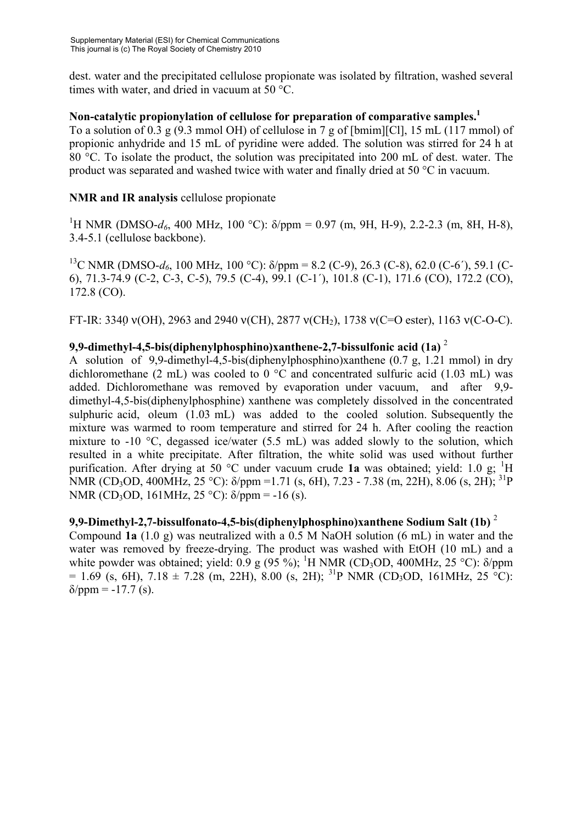dest. water and the precipitated cellulose propionate was isolated by filtration, washed several times with water, and dried in vacuum at 50 °C.

**Non-catalytic propionylation of cellulose for preparation of comparative samples.1**  To a solution of 0.3 g (9.3 mmol OH) of cellulose in 7 g of [bmim][Cl], 15 mL (117 mmol) of propionic anhydride and 15 mL of pyridine were added. The solution was stirred for 24 h at 80 °C. To isolate the product, the solution was precipitated into 200 mL of dest. water. The product was separated and washed twice with water and finally dried at 50 °C in vacuum.

## **NMR and IR analysis** cellulose propionate

<sup>1</sup>H NMR (DMSO- $d_6$ , 400 MHz, 100 °C):  $\delta$ /ppm = 0.97 (m, 9H, H-9), 2.2-2.3 (m, 8H, H-8), 3.4-5.1 (cellulose backbone).

<sup>13</sup>C NMR (DMSO- $d_6$ , 100 MHz, 100 °C): δ/ppm = 8.2 (C-9), 26.3 (C-8), 62.0 (C-6'), 59.1 (C-6), 71.3-74.9 (C-2, C-3, C-5), 79.5 (C-4), 99.1 (C-1´), 101.8 (C-1), 171.6 (CO), 172.2 (CO), 172.8 (CO).

FT-IR: 3340  $v(OH)$ , 2963 and 2940  $v(CH)$ , 2877  $v(CH)$ , 1738  $v(C=O \text{ ester})$ , 1163  $v(C-O-C)$ .

## **9,9-dimethyl-4,5-bis(diphenylphosphino)xanthene-2,7-bissulfonic acid (1a)** <sup>2</sup>

A solution of 9,9-dimethyl-4,5-bis(diphenylphosphino)xanthene (0.7 g, 1.21 mmol) in dry dichloromethane (2 mL) was cooled to 0  $\degree$ C and concentrated sulfuric acid (1.03 mL) was added. Dichloromethane was removed by evaporation under vacuum, and after 9,9 dimethyl-4,5-bis(diphenylphosphine) xanthene was completely dissolved in the concentrated sulphuric acid, oleum  $(1.03 \text{ mL})$  was added to the cooled solution. Subsequently the mixture was warmed to room temperature and stirred for 24 h. After cooling the reaction mixture to -10 °C, degassed ice/water (5.5 mL) was added slowly to the solution, which resulted in a white precipitate. After filtration, the white solid was used without further purification. After drying at 50 °C under vacuum crude 1a was obtained; yield: 1.0 g; <sup>1</sup>H NMR (CD<sub>3</sub>OD, 400MHz, 25 °C): δ/ppm =1.71 (s, 6H), 7.23 - 7.38 (m, 22H), 8.06 (s, 2H); <sup>31</sup>P NMR (CD<sub>3</sub>OD, 161MHz, 25 °C):  $\delta$ /ppm = -16 (s).

**9,9-Dimethyl-2,7-bissulfonato-4,5-bis(diphenylphosphino)xanthene Sodium Salt (1b)** <sup>2</sup>  Compound **1a** (1.0 g) was neutralized with a 0.5 M NaOH solution (6 mL) in water and the water was removed by freeze-drying. The product was washed with EtOH (10 mL) and a white powder was obtained; yield: 0.9 g (95 %); <sup>1</sup>H NMR (CD<sub>3</sub>OD, 400MHz, 25 °C):  $\delta$ /ppm  $= 1.69$  (s, 6H),  $7.18 \pm 7.28$  (m, 22H), 8.00 (s, 2H); <sup>31</sup>P NMR (CD<sub>3</sub>OD, 161MHz, 25<sup>-5</sup>C):  $\delta$ /ppm = -17.7 (s).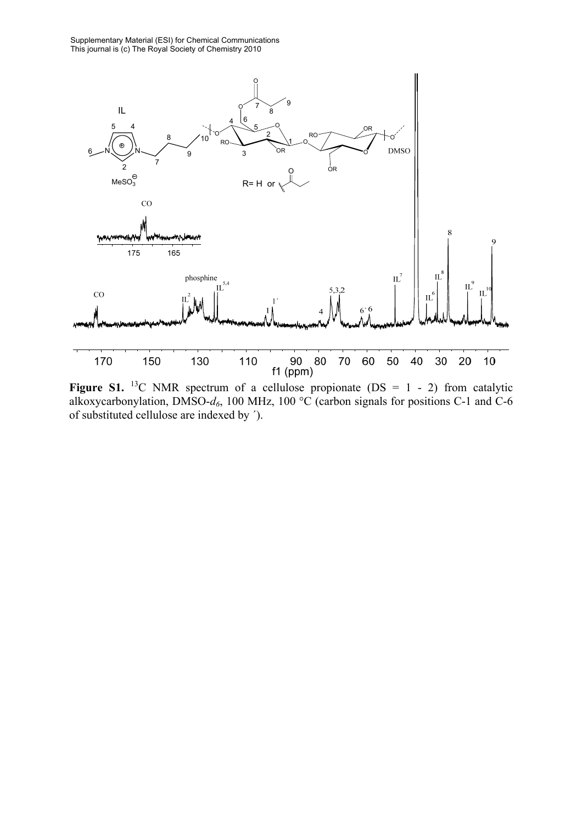

**Figure S1.** <sup>13</sup>C NMR spectrum of a cellulose propionate (DS =  $1 - 2$ ) from catalytic alkoxycarbonylation, DMSO- $d_6$ , 100 MHz, 100 °C (carbon signals for positions C-1 and C-6 of substituted cellulose are indexed by ´).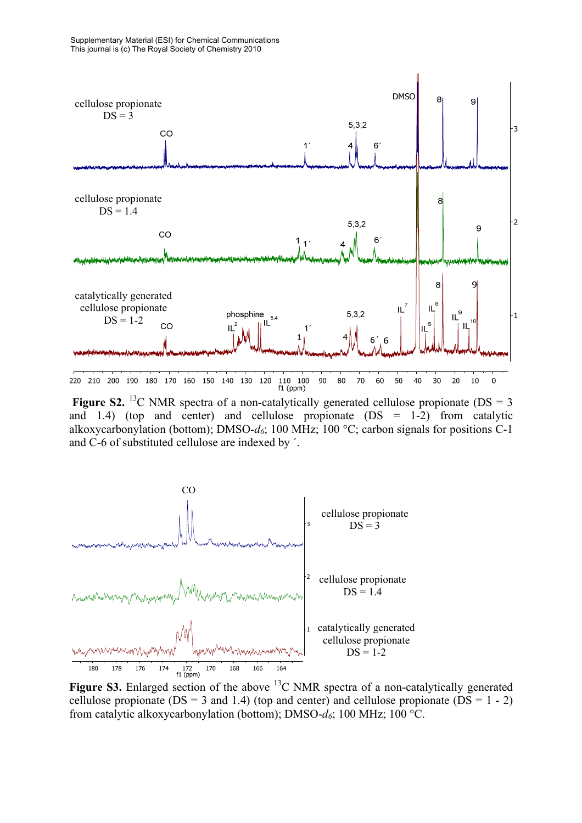

**Figure S2.** <sup>13</sup>C NMR spectra of a non-catalytically generated cellulose propionate ( $DS = 3$ and 1.4) (top and center) and cellulose propionate  $(DS = 1-2)$  from catalytic alkoxycarbonylation (bottom); DMSO- $d_6$ ; 100 MHz; 100 °C; carbon signals for positions C-1 and C-6 of substituted cellulose are indexed by ´.



Figure S3. Enlarged section of the above <sup>13</sup>C NMR spectra of a non-catalytically generated cellulose propionate ( $DS = 3$  and 1.4) (top and center) and cellulose propionate ( $DS = 1 - 2$ ) from catalytic alkoxycarbonylation (bottom); DMSO-*d6*; 100 MHz; 100 °C.